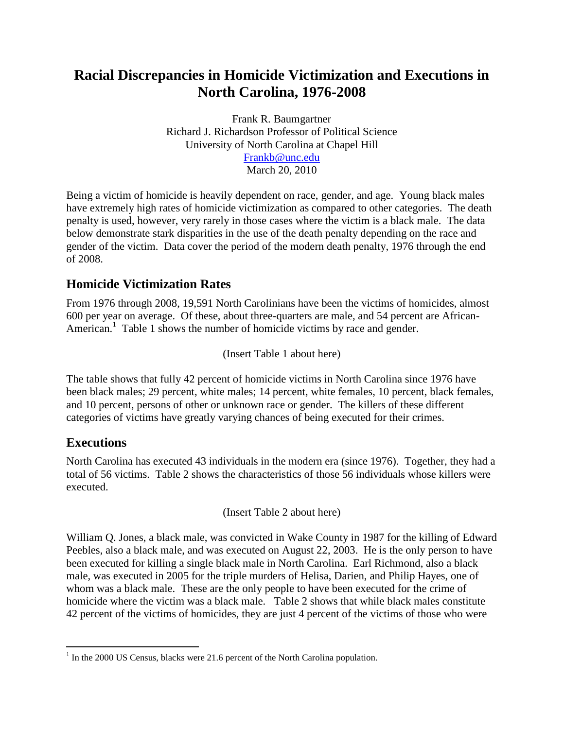# **Racial Discrepancies in Homicide Victimization and Executions in North Carolina, 1976-2008**

Frank R. Baumgartner Richard J. Richardson Professor of Political Science University of North Carolina at Chapel Hill [Frankb@unc.edu](mailto:Frankb@unc.edu) March 20, 2010

Being a victim of homicide is heavily dependent on race, gender, and age. Young black males have extremely high rates of homicide victimization as compared to other categories. The death penalty is used, however, very rarely in those cases where the victim is a black male. The data below demonstrate stark disparities in the use of the death penalty depending on the race and gender of the victim. Data cover the period of the modern death penalty, 1976 through the end of 2008.

### **Homicide Victimization Rates**

From 1976 through 2008, 19,591 North Carolinians have been the victims of homicides, almost 600 per year on average. Of these, about three-quarters are male, and 54 percent are African-American.<sup>1</sup> Table 1 shows the number of homicide victims by race and gender.

(Insert Table 1 about here)

The table shows that fully 42 percent of homicide victims in North Carolina since 1976 have been black males; 29 percent, white males; 14 percent, white females, 10 percent, black females, and 10 percent, persons of other or unknown race or gender. The killers of these different categories of victims have greatly varying chances of being executed for their crimes.

### **Executions**

 $\overline{a}$ 

North Carolina has executed 43 individuals in the modern era (since 1976). Together, they had a total of 56 victims. Table 2 shows the characteristics of those 56 individuals whose killers were executed.

(Insert Table 2 about here)

William Q. Jones, a black male, was convicted in Wake County in 1987 for the killing of Edward Peebles, also a black male, and was executed on August 22, 2003. He is the only person to have been executed for killing a single black male in North Carolina. Earl Richmond, also a black male, was executed in 2005 for the triple murders of Helisa, Darien, and Philip Hayes, one of whom was a black male. These are the only people to have been executed for the crime of homicide where the victim was a black male. Table 2 shows that while black males constitute 42 percent of the victims of homicides, they are just 4 percent of the victims of those who were

 $<sup>1</sup>$  In the 2000 US Census, blacks were 21.6 percent of the North Carolina population.</sup>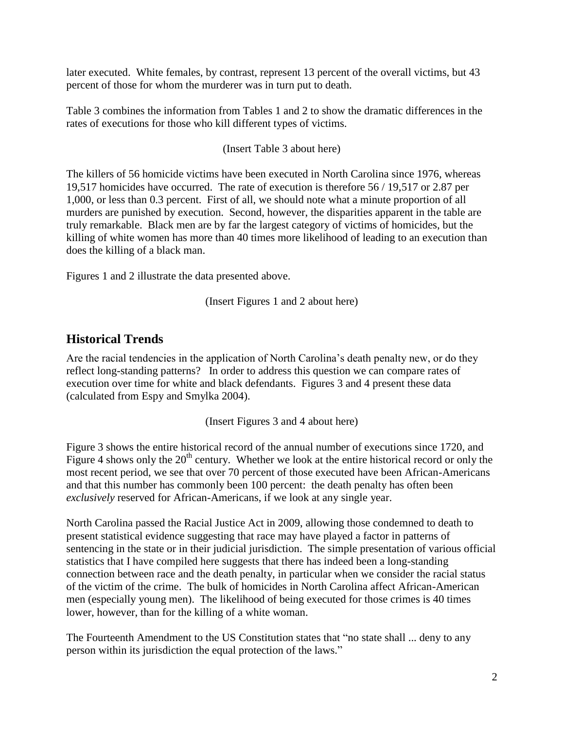later executed. White females, by contrast, represent 13 percent of the overall victims, but 43 percent of those for whom the murderer was in turn put to death.

Table 3 combines the information from Tables 1 and 2 to show the dramatic differences in the rates of executions for those who kill different types of victims.

(Insert Table 3 about here)

The killers of 56 homicide victims have been executed in North Carolina since 1976, whereas 19,517 homicides have occurred. The rate of execution is therefore 56 / 19,517 or 2.87 per 1,000, or less than 0.3 percent. First of all, we should note what a minute proportion of all murders are punished by execution. Second, however, the disparities apparent in the table are truly remarkable. Black men are by far the largest category of victims of homicides, but the killing of white women has more than 40 times more likelihood of leading to an execution than does the killing of a black man.

Figures 1 and 2 illustrate the data presented above.

(Insert Figures 1 and 2 about here)

## **Historical Trends**

Are the racial tendencies in the application of North Carolina's death penalty new, or do they reflect long-standing patterns? In order to address this question we can compare rates of execution over time for white and black defendants. Figures 3 and 4 present these data (calculated from Espy and Smylka 2004).

(Insert Figures 3 and 4 about here)

Figure 3 shows the entire historical record of the annual number of executions since 1720, and Figure 4 shows only the  $20<sup>th</sup>$  century. Whether we look at the entire historical record or only the most recent period, we see that over 70 percent of those executed have been African-Americans and that this number has commonly been 100 percent: the death penalty has often been *exclusively* reserved for African-Americans, if we look at any single year.

North Carolina passed the Racial Justice Act in 2009, allowing those condemned to death to present statistical evidence suggesting that race may have played a factor in patterns of sentencing in the state or in their judicial jurisdiction. The simple presentation of various official statistics that I have compiled here suggests that there has indeed been a long-standing connection between race and the death penalty, in particular when we consider the racial status of the victim of the crime. The bulk of homicides in North Carolina affect African-American men (especially young men). The likelihood of being executed for those crimes is 40 times lower, however, than for the killing of a white woman.

The Fourteenth Amendment to the US Constitution states that "no state shall ... deny to any person within its jurisdiction the equal protection of the laws."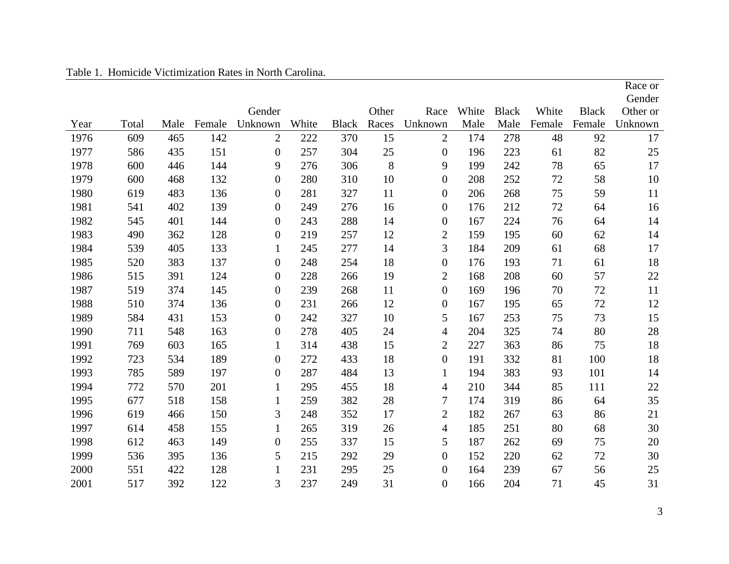|      |       |      |        |                  |       |              |       |                  |       |              |        |              | Race or  |
|------|-------|------|--------|------------------|-------|--------------|-------|------------------|-------|--------------|--------|--------------|----------|
|      |       |      |        |                  |       |              |       |                  |       |              |        |              | Gender   |
|      |       |      |        | Gender           |       |              | Other | Race             | White | <b>Black</b> | White  | <b>Black</b> | Other or |
| Year | Total | Male | Female | Unknown          | White | <b>Black</b> | Races | Unknown          | Male  | Male         | Female | Female       | Unknown  |
| 1976 | 609   | 465  | 142    | $\overline{2}$   | 222   | 370          | 15    | $\overline{2}$   | 174   | 278          | 48     | 92           | 17       |
| 1977 | 586   | 435  | 151    | $\boldsymbol{0}$ | 257   | 304          | 25    | $\overline{0}$   | 196   | 223          | 61     | 82           | 25       |
| 1978 | 600   | 446  | 144    | 9                | 276   | 306          | 8     | 9                | 199   | 242          | 78     | 65           | 17       |
| 1979 | 600   | 468  | 132    | $\boldsymbol{0}$ | 280   | 310          | 10    | $\boldsymbol{0}$ | 208   | 252          | 72     | 58           | $10\,$   |
| 1980 | 619   | 483  | 136    | $\boldsymbol{0}$ | 281   | 327          | 11    | $\mathbf{0}$     | 206   | 268          | 75     | 59           | 11       |
| 1981 | 541   | 402  | 139    | $\boldsymbol{0}$ | 249   | 276          | 16    | $\boldsymbol{0}$ | 176   | 212          | 72     | 64           | 16       |
| 1982 | 545   | 401  | 144    | $\boldsymbol{0}$ | 243   | 288          | 14    | 0                | 167   | 224          | 76     | 64           | 14       |
| 1983 | 490   | 362  | 128    | $\boldsymbol{0}$ | 219   | 257          | 12    | $\overline{c}$   | 159   | 195          | 60     | 62           | 14       |
| 1984 | 539   | 405  | 133    | $\mathbf{1}$     | 245   | 277          | 14    | 3                | 184   | 209          | 61     | 68           | 17       |
| 1985 | 520   | 383  | 137    | $\boldsymbol{0}$ | 248   | 254          | 18    | $\boldsymbol{0}$ | 176   | 193          | 71     | 61           | 18       |
| 1986 | 515   | 391  | 124    | $\boldsymbol{0}$ | 228   | 266          | 19    | $\overline{2}$   | 168   | 208          | 60     | 57           | $22\,$   |
| 1987 | 519   | 374  | 145    | $\boldsymbol{0}$ | 239   | 268          | 11    | $\boldsymbol{0}$ | 169   | 196          | 70     | 72           | 11       |
| 1988 | 510   | 374  | 136    | $\boldsymbol{0}$ | 231   | 266          | 12    | $\boldsymbol{0}$ | 167   | 195          | 65     | 72           | 12       |
| 1989 | 584   | 431  | 153    | $\boldsymbol{0}$ | 242   | 327          | 10    | 5                | 167   | 253          | 75     | 73           | 15       |
| 1990 | 711   | 548  | 163    | $\boldsymbol{0}$ | 278   | 405          | 24    | 4                | 204   | 325          | 74     | 80           | 28       |
| 1991 | 769   | 603  | 165    | $\mathbf{1}$     | 314   | 438          | 15    | $\overline{2}$   | 227   | 363          | 86     | 75           | 18       |
| 1992 | 723   | 534  | 189    | $\boldsymbol{0}$ | 272   | 433          | 18    | $\overline{0}$   | 191   | 332          | 81     | 100          | 18       |
| 1993 | 785   | 589  | 197    | $\boldsymbol{0}$ | 287   | 484          | 13    | $\mathbf{1}$     | 194   | 383          | 93     | 101          | 14       |
| 1994 | 772   | 570  | 201    | $\mathbf{1}$     | 295   | 455          | 18    | 4                | 210   | 344          | 85     | 111          | 22       |
| 1995 | 677   | 518  | 158    | $\mathbf{1}$     | 259   | 382          | 28    | 7                | 174   | 319          | 86     | 64           | 35       |
| 1996 | 619   | 466  | 150    | 3                | 248   | 352          | 17    | $\overline{2}$   | 182   | 267          | 63     | 86           | 21       |
| 1997 | 614   | 458  | 155    | $\mathbf{1}$     | 265   | 319          | 26    | 4                | 185   | 251          | 80     | 68           | 30       |
| 1998 | 612   | 463  | 149    | $\boldsymbol{0}$ | 255   | 337          | 15    | 5                | 187   | 262          | 69     | 75           | 20       |
| 1999 | 536   | 395  | 136    | 5                | 215   | 292          | 29    | $\boldsymbol{0}$ | 152   | 220          | 62     | 72           | 30       |
| 2000 | 551   | 422  | 128    | $\mathbf{1}$     | 231   | 295          | 25    | $\overline{0}$   | 164   | 239          | 67     | 56           | 25       |
| 2001 | 517   | 392  | 122    | 3                | 237   | 249          | 31    | $\boldsymbol{0}$ | 166   | 204          | 71     | 45           | 31       |

Table 1. Homicide Victimization Rates in North Carolina.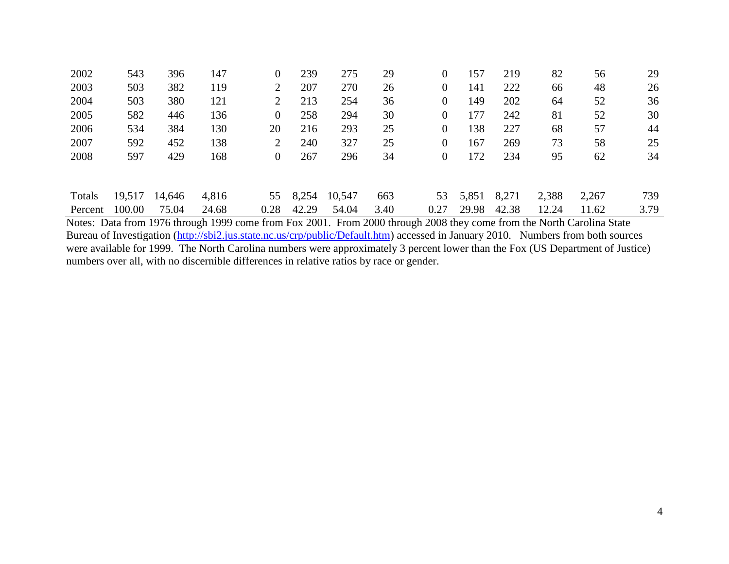| 2002    | 543    | 396    | 147   | $\overline{0}$   | 239   | 275    | 29   | $\overline{0}$ | 157   | 219   | 82    | 56    | 29   |
|---------|--------|--------|-------|------------------|-------|--------|------|----------------|-------|-------|-------|-------|------|
| 2003    | 503    | 382    | 119   | 2                | 207   | 270    | 26   | $\overline{0}$ | 141   | 222   | 66    | 48    | 26   |
| 2004    | 503    | 380    | 121   | 2                | 213   | 254    | 36   | $\overline{0}$ | 149   | 202   | 64    | 52    | 36   |
| 2005    | 582    | 446    | 136   | $\boldsymbol{0}$ | 258   | 294    | 30   | $\overline{0}$ | 177   | 242   | 81    | 52    | 30   |
| 2006    | 534    | 384    | 130   | 20               | 216   | 293    | 25   | $\overline{0}$ | 138   | 227   | 68    | 57    | 44   |
| 2007    | 592    | 452    | 138   | 2                | 240   | 327    | 25   | $\overline{0}$ | 167   | 269   | 73    | 58    | 25   |
| 2008    | 597    | 429    | 168   | $\boldsymbol{0}$ | 267   | 296    | 34   | $\overline{0}$ | 172   | 234   | 95    | 62    | 34   |
|         |        |        |       |                  |       |        |      |                |       |       |       |       |      |
| Totals  | 19,517 | 14,646 | 4,816 | 55               | 8,254 | 10,547 | 663  | 53             | 5,851 | 8,271 | 2,388 | 2,267 | 739  |
| Percent | 100.00 | 75.04  | 24.68 | 0.28             | 42.29 | 54.04  | 3.40 | 0.27           | 29.98 | 42.38 | 12.24 | 11.62 | 3.79 |

Notes: Data from 1976 through 1999 come from Fox 2001. From 2000 through 2008 they come from the North Carolina State Bureau of Investigation [\(http://sbi2.jus.state.nc.us/crp/public/Default.htm\)](http://sbi2.jus.state.nc.us/crp/public/Default.htm) accessed in January 2010. Numbers from both sources were available for 1999. The North Carolina numbers were approximately 3 percent lower than the Fox (US Department of Justice) numbers over all, with no discernible differences in relative ratios by race or gender.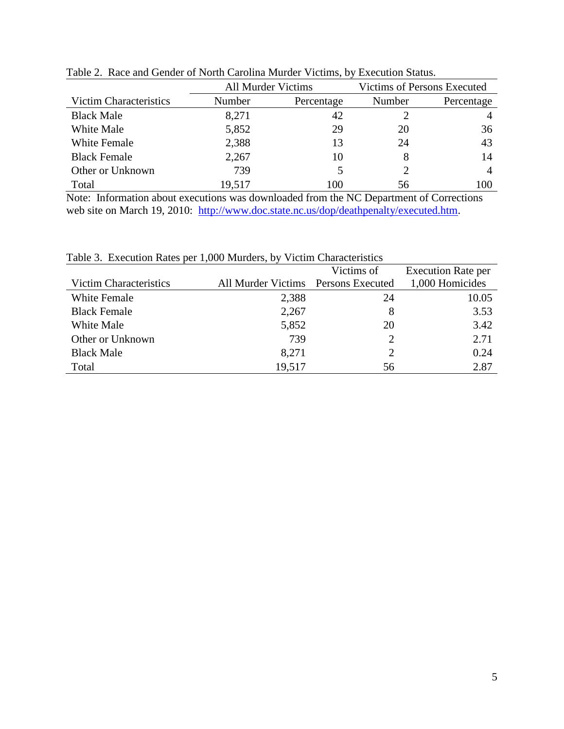|                               | All Murder Victims |            | Victims of Persons Executed |            |  |
|-------------------------------|--------------------|------------|-----------------------------|------------|--|
| <b>Victim Characteristics</b> | Number             | Percentage | Number                      | Percentage |  |
| <b>Black Male</b>             | 8,271              | 42         |                             |            |  |
| White Male                    | 5,852              | 29         | 20                          | 36         |  |
| <b>White Female</b>           | 2,388              | 13         | 24                          | 43         |  |
| <b>Black Female</b>           | 2,267              | 10         |                             | 14         |  |
| Other or Unknown              | 739                |            |                             |            |  |
| Total                         | 19,517             | 100        | 56                          | 100        |  |

Table 2. Race and Gender of North Carolina Murder Victims, by Execution Status.

Note: Information about executions was downloaded from the NC Department of Corrections web site on March 19, 2010: [http://www.doc.state.nc.us/dop/deathpenalty/executed.htm.](http://www.doc.state.nc.us/dop/deathpenalty/executed.htm)

| Tuble 5. Encounter Rules per 1,000 margers, of victim emineteristics |                                     | Victims of | <b>Execution Rate per</b> |
|----------------------------------------------------------------------|-------------------------------------|------------|---------------------------|
| Victim Characteristics                                               | All Murder Victims Persons Executed |            | 1,000 Homicides           |
| <b>White Female</b>                                                  | 2,388                               | 24         | 10.05                     |
| <b>Black Female</b>                                                  | 2,267                               | 8          | 3.53                      |
| White Male                                                           | 5,852                               | 20         | 3.42                      |
| Other or Unknown                                                     | 739                                 | 2          | 2.71                      |
| <b>Black Male</b>                                                    | 8,271                               | 2          | 0.24                      |
| Total                                                                | 19,517                              | 56         | 2.87                      |

Table 3. Execution Rates per 1,000 Murders, by Victim Characteristics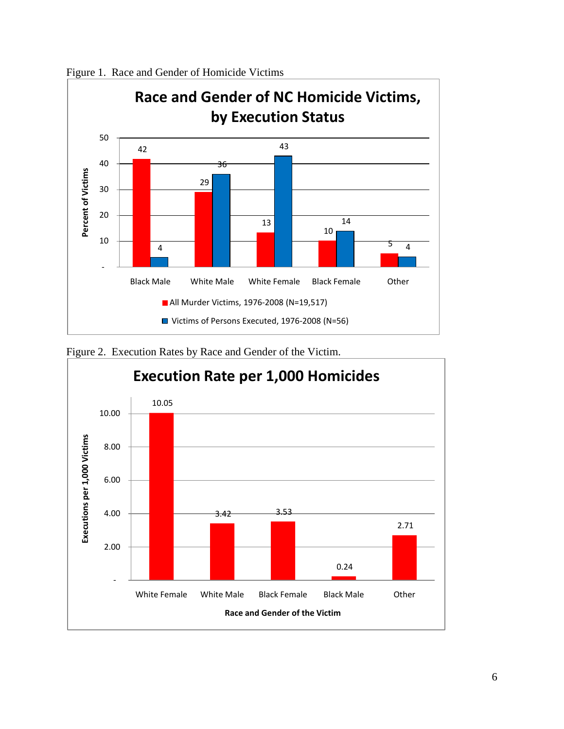

Figure 1. Race and Gender of Homicide Victims



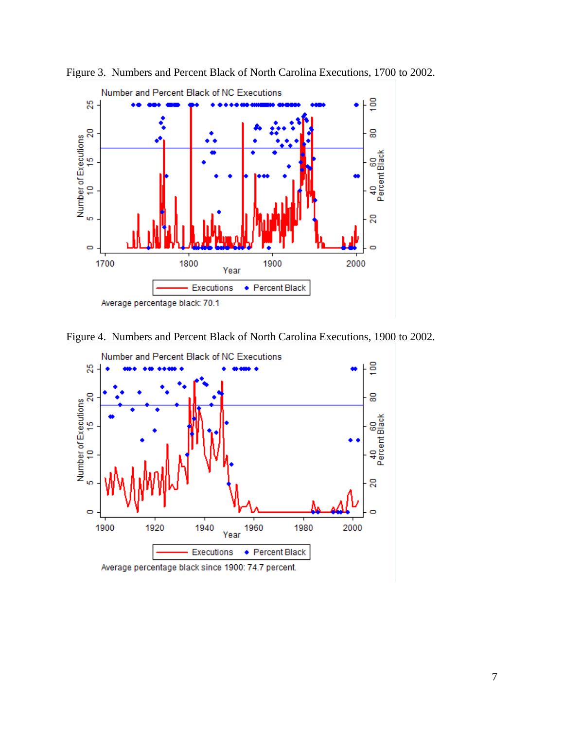

Figure 3. Numbers and Percent Black of North Carolina Executions, 1700 to 2002.

Figure 4. Numbers and Percent Black of North Carolina Executions, 1900 to 2002.